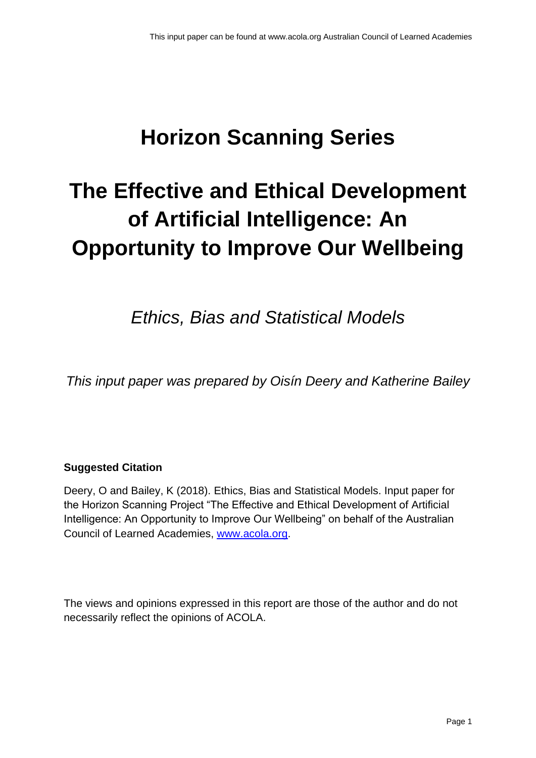# **Horizon Scanning Series**

# **The Effective and Ethical Development of Artificial Intelligence: An Opportunity to Improve Our Wellbeing**

*Ethics, Bias and Statistical Models*

*This input paper was prepared by Oisín Deery and Katherine Bailey*

# **Suggested Citation**

Deery, O and Bailey, K (2018). Ethics, Bias and Statistical Models. Input paper for the Horizon Scanning Project "The Effective and Ethical Development of Artificial Intelligence: An Opportunity to Improve Our Wellbeing" on behalf of the Australian Council of Learned Academies, [www.acola.org.](http://www.acola.org/)

The views and opinions expressed in this report are those of the author and do not necessarily reflect the opinions of ACOLA.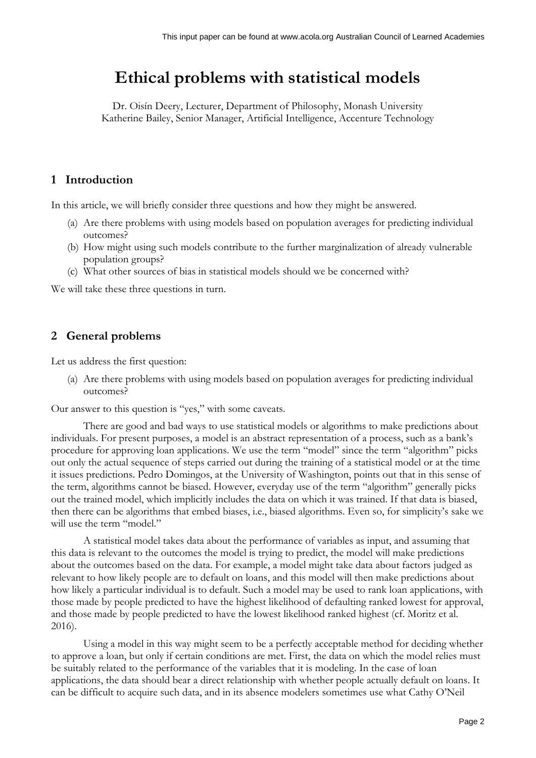# **Ethical problems with statistical models**

Dr. Oisín Deery, Lecturer, Department of Philosophy, Monash University Katherine Bailey, Senior Manager, Artificial Intelligence, Accenture Technology

### **1 Introduction**

In this article, we will briefly consider three questions and how they might be answered.

- (a) Are there problems with using models based on population averages for predicting individual outcomes?
- (b) How might using such models contribute to the further marginalization of already vulnerable population groups?
- (c) What other sources of bias in statistical models should we be concerned with?

We will take these three questions in turn.

### **2 General problems**

Let us address the first question:

(a) Are there problems with using models based on population averages for predicting individual outcomes?

Our answer to this question is "yes," with some caveats.

There are good and bad ways to use statistical models or algorithms to make predictions about individuals. For present purposes, a model is an abstract representation of a process, such as a bank's procedure for approving loan applications. We use the term "model" since the term "algorithm" picks out only the actual sequence of steps carried out during the training of a statistical model or at the time it issues predictions. Pedro Domingos, at the University of Washington, points out that in this sense of the term, algorithms cannot be biased. However, everyday use of the term "algorithm" generally picks out the trained model, which implicitly includes the data on which it was trained. If that data is biased, then there can be algorithms that embed biases, i.e., biased algorithms. Even so, for simplicity's sake we will use the term "model."

A statistical model takes data about the performance of variables as input, and assuming that this data is relevant to the outcomes the model is trying to predict, the model will make predictions about the outcomes based on the data. For example, a model might take data about factors judged as relevant to how likely people are to default on loans, and this model will then make predictions about how likely a particular individual is to default. Such a model may be used to rank loan applications, with those made by people predicted to have the highest likelihood of defaulting ranked lowest for approval, and those made by people predicted to have the lowest likelihood ranked highest (cf. Moritz et al. 2016).

Using a model in this way might seem to be a perfectly acceptable method for deciding whether to approve a loan, but only if certain conditions are met. First, the data on which the model relies must be suitably related to the performance of the variables that it is modeling. In the case of loan applications, the data should bear a direct relationship with whether people actually default on loans. It can be difficult to acquire such data, and in its absence modelers sometimes use what Cathy O'Neil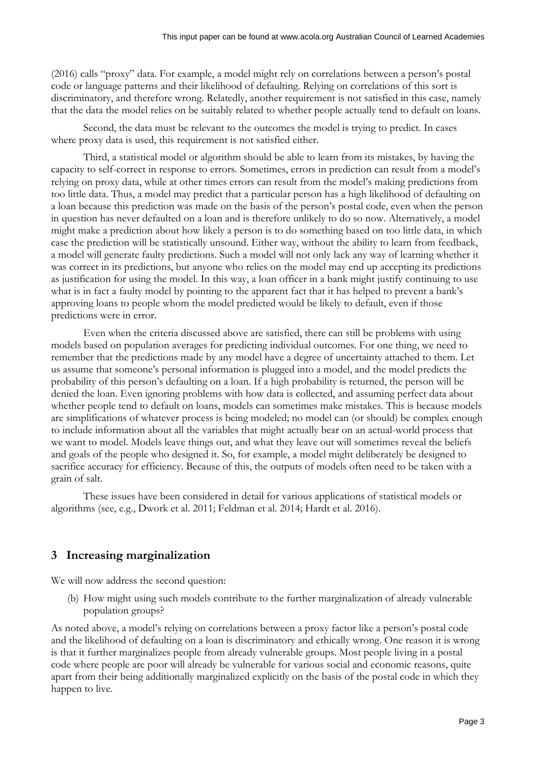(2016) calls "proxy" data. For example, a model might rely on correlations between a person's postal code or language patterns and their likelihood of defaulting. Relying on correlations of this sort is discriminatory, and therefore wrong. Relatedly, another requirement is not satisfied in this case, namely that the data the model relies on be suitably related to whether people actually tend to default on loans.

Second, the data must be relevant to the outcomes the model is trying to predict. In cases where proxy data is used, this requirement is not satisfied either.

Third, a statistical model or algorithm should be able to learn from its mistakes, by having the capacity to self-correct in response to errors. Sometimes, errors in prediction can result from a model's relying on proxy data, while at other times errors can result from the model's making predictions from too little data. Thus, a model may predict that a particular person has a high likelihood of defaulting on a loan because this prediction was made on the basis of the person's postal code, even when the person in question has never defaulted on a loan and is therefore unlikely to do so now. Alternatively, a model might make a prediction about how likely a person is to do something based on too little data, in which case the prediction will be statistically unsound. Either way, without the ability to learn from feedback, a model will generate faulty predictions. Such a model will not only lack any way of learning whether it was correct in its predictions, but anyone who relies on the model may end up accepting its predictions as justification for using the model. In this way, a loan officer in a bank might justify continuing to use what is in fact a faulty model by pointing to the apparent fact that it has helped to prevent a bank's approving loans to people whom the model predicted would be likely to default, even if those predictions were in error.

Even when the criteria discussed above are satisfied, there can still be problems with using models based on population averages for predicting individual outcomes. For one thing, we need to remember that the predictions made by any model have a degree of uncertainty attached to them. Let us assume that someone's personal information is plugged into a model, and the model predicts the probability of this person's defaulting on a loan. If a high probability is returned, the person will be denied the loan. Even ignoring problems with how data is collected, and assuming perfect data about whether people tend to default on loans, models can sometimes make mistakes. This is because models are simplifications of whatever process is being modeled; no model can (or should) be complex enough to include information about all the variables that might actually bear on an actual-world process that we want to model. Models leave things out, and what they leave out will sometimes reveal the beliefs and goals of the people who designed it. So, for example, a model might deliberately be designed to sacrifice accuracy for efficiency. Because of this, the outputs of models often need to be taken with a grain of salt.

These issues have been considered in detail for various applications of statistical models or algorithms (see, e.g., Dwork et al. 2011; Feldman et al. 2014; Hardt et al. 2016).

# **3 Increasing marginalization**

We will now address the second question:

(b) How might using such models contribute to the further marginalization of already vulnerable population groups?

As noted above, a model's relying on correlations between a proxy factor like a person's postal code and the likelihood of defaulting on a loan is discriminatory and ethically wrong. One reason it is wrong is that it further marginalizes people from already vulnerable groups. Most people living in a postal code where people are poor will already be vulnerable for various social and economic reasons, quite apart from their being additionally marginalized explicitly on the basis of the postal code in which they happen to live.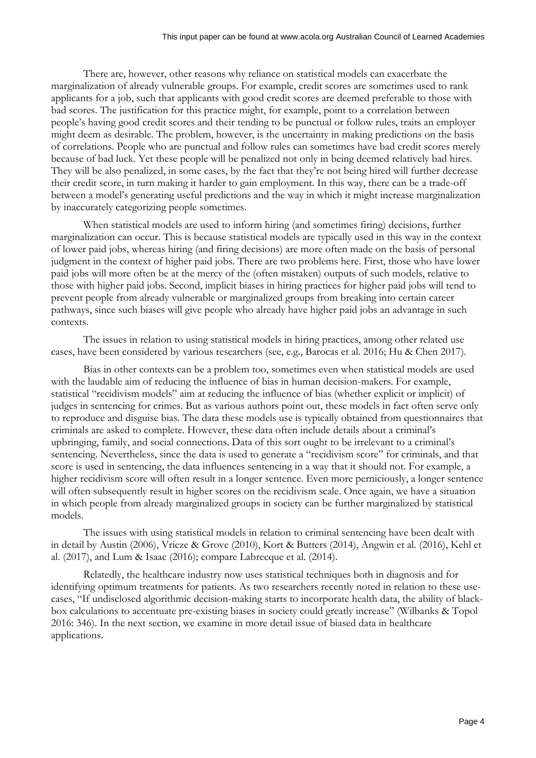There are, however, other reasons why reliance on statistical models can exacerbate the marginalization of already vulnerable groups. For example, credit scores are sometimes used to rank applicants for a job, such that applicants with good credit scores are deemed preferable to those with bad scores. The justification for this practice might, for example, point to a correlation between people's having good credit scores and their tending to be punctual or follow rules, traits an employer might deem as desirable. The problem, however, is the uncertainty in making predictions on the basis of correlations. People who are punctual and follow rules can sometimes have bad credit scores merely because of bad luck. Yet these people will be penalized not only in being deemed relatively bad hires. They will be also penalized, in some cases, by the fact that they're not being hired will further decrease their credit score, in turn making it harder to gain employment. In this way, there can be a trade-off between a model's generating useful predictions and the way in which it might increase marginalization by inaccurately categorizing people sometimes.

When statistical models are used to inform hiring (and sometimes firing) decisions, further marginalization can occur. This is because statistical models are typically used in this way in the context of lower paid jobs, whereas hiring (and firing decisions) are more often made on the basis of personal judgment in the context of higher paid jobs. There are two problems here. First, those who have lower paid jobs will more often be at the mercy of the (often mistaken) outputs of such models, relative to those with higher paid jobs. Second, implicit biases in hiring practices for higher paid jobs will tend to prevent people from already vulnerable or marginalized groups from breaking into certain career pathways, since such biases will give people who already have higher paid jobs an advantage in such contexts.

The issues in relation to using statistical models in hiring practices, among other related use cases, have been considered by various researchers (see, e.g., Barocas et al. 2016; Hu & Chen 2017).

Bias in other contexts can be a problem too, sometimes even when statistical models are used with the laudable aim of reducing the influence of bias in human decision-makers. For example, statistical "recidivism models" aim at reducing the influence of bias (whether explicit or implicit) of judges in sentencing for crimes. But as various authors point out, these models in fact often serve only to reproduce and disguise bias. The data these models use is typically obtained from questionnaires that criminals are asked to complete. However, these data often include details about a criminal's upbringing, family, and social connections. Data of this sort ought to be irrelevant to a criminal's sentencing. Nevertheless, since the data is used to generate a "recidivism score" for criminals, and that score is used in sentencing, the data influences sentencing in a way that it should not. For example, a higher recidivism score will often result in a longer sentence. Even more perniciously, a longer sentence will often subsequently result in higher scores on the recidivism scale. Once again, we have a situation in which people from already marginalized groups in society can be further marginalized by statistical models.

The issues with using statistical models in relation to criminal sentencing have been dealt with in detail by Austin (2006), Vrieze & Grove (2010), Kort & Butters (2014), Angwin et al. (2016), Kehl et al. (2017), and Lum & Isaac (2016); compare Labrecque et al. (2014).

Relatedly, the healthcare industry now uses statistical techniques both in diagnosis and for identifying optimum treatments for patients. As two researchers recently noted in relation to these usecases, "If undisclosed algorithmic decision-making starts to incorporate health data, the ability of blackbox calculations to accentuate pre-existing biases in society could greatly increase" (Wilbanks & Topol 2016: 346). In the next section, we examine in more detail issue of biased data in healthcare applications.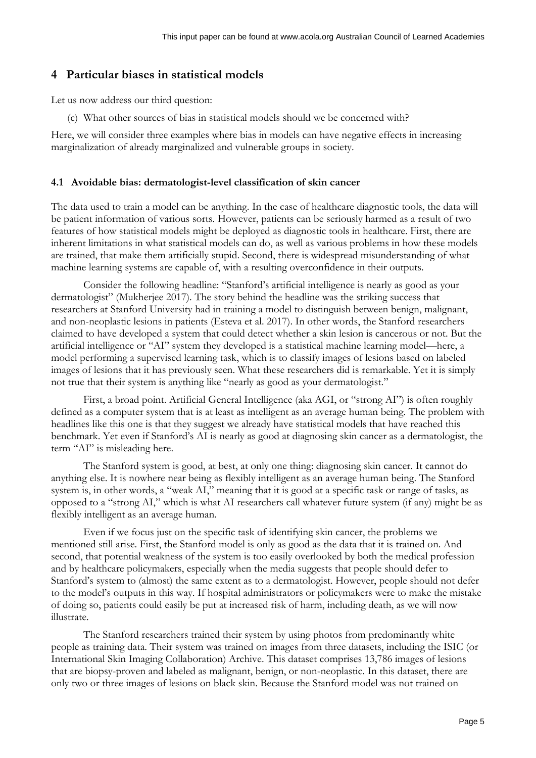### **4 Particular biases in statistical models**

Let us now address our third question:

(c) What other sources of bias in statistical models should we be concerned with?

Here, we will consider three examples where bias in models can have negative effects in increasing marginalization of already marginalized and vulnerable groups in society.

#### **4.1 Avoidable bias: dermatologist-level classification of skin cancer**

The data used to train a model can be anything. In the case of healthcare diagnostic tools, the data will be patient information of various sorts. However, patients can be seriously harmed as a result of two features of how statistical models might be deployed as diagnostic tools in healthcare. First, there are inherent limitations in what statistical models can do, as well as various problems in how these models are trained, that make them artificially stupid. Second, there is widespread misunderstanding of what machine learning systems are capable of, with a resulting overconfidence in their outputs.

Consider the following headline: "Stanford's artificial intelligence is nearly as good as your dermatologist" (Mukherjee 2017). The story behind the headline was the striking success that researchers at Stanford University had in training a model to distinguish between benign, malignant, and non-neoplastic lesions in patients (Esteva et al. 2017). In other words, the Stanford researchers claimed to have developed a system that could detect whether a skin lesion is cancerous or not. But the artificial intelligence or "AI" system they developed is a statistical machine learning model—here, a model performing a supervised learning task, which is to classify images of lesions based on labeled images of lesions that it has previously seen. What these researchers did is remarkable. Yet it is simply not true that their system is anything like "nearly as good as your dermatologist."

First, a broad point. Artificial General Intelligence (aka AGI, or "strong AI") is often roughly defined as a computer system that is at least as intelligent as an average human being. The problem with headlines like this one is that they suggest we already have statistical models that have reached this benchmark. Yet even if Stanford's AI is nearly as good at diagnosing skin cancer as a dermatologist, the term "AI" is misleading here.

The Stanford system is good, at best, at only one thing: diagnosing skin cancer. It cannot do anything else. It is nowhere near being as flexibly intelligent as an average human being. The Stanford system is, in other words, a "weak AI," meaning that it is good at a specific task or range of tasks, as opposed to a "strong AI," which is what AI researchers call whatever future system (if any) might be as flexibly intelligent as an average human.

Even if we focus just on the specific task of identifying skin cancer, the problems we mentioned still arise. First, the Stanford model is only as good as the data that it is trained on. And second, that potential weakness of the system is too easily overlooked by both the medical profession and by healthcare policymakers, especially when the media suggests that people should defer to Stanford's system to (almost) the same extent as to a dermatologist. However, people should not defer to the model's outputs in this way. If hospital administrators or policymakers were to make the mistake of doing so, patients could easily be put at increased risk of harm, including death, as we will now illustrate.

The Stanford researchers trained their system by using photos from predominantly white people as training data. Their system was trained on images from three datasets, including the ISIC (or International Skin Imaging Collaboration) Archive. This dataset comprises 13,786 images of lesions that are biopsy-proven and labeled as malignant, benign, or non-neoplastic. In this dataset, there are only two or three images of lesions on black skin. Because the Stanford model was not trained on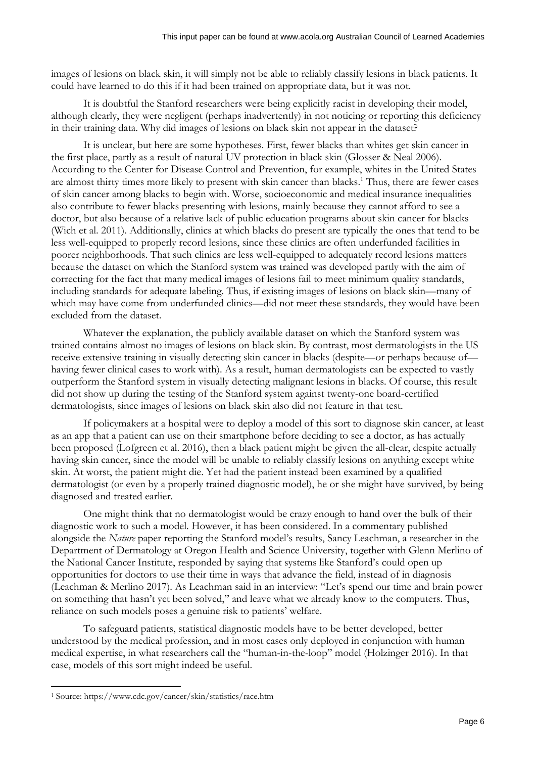images of lesions on black skin, it will simply not be able to reliably classify lesions in black patients. It could have learned to do this if it had been trained on appropriate data, but it was not.

It is doubtful the Stanford researchers were being explicitly racist in developing their model, although clearly, they were negligent (perhaps inadvertently) in not noticing or reporting this deficiency in their training data. Why did images of lesions on black skin not appear in the dataset?

It is unclear, but here are some hypotheses. First, fewer blacks than whites get skin cancer in the first place, partly as a result of natural UV protection in black skin (Glosser & Neal 2006). According to the Center for Disease Control and Prevention, for example, whites in the United States are almost thirty times more likely to present with skin cancer than blacks.<sup>1</sup> Thus, there are fewer cases of skin cancer among blacks to begin with. Worse, socioeconomic and medical insurance inequalities also contribute to fewer blacks presenting with lesions, mainly because they cannot afford to see a doctor, but also because of a relative lack of public education programs about skin cancer for blacks (Wich et al. 2011). Additionally, clinics at which blacks do present are typically the ones that tend to be less well-equipped to properly record lesions, since these clinics are often underfunded facilities in poorer neighborhoods. That such clinics are less well-equipped to adequately record lesions matters because the dataset on which the Stanford system was trained was developed partly with the aim of correcting for the fact that many medical images of lesions fail to meet minimum quality standards, including standards for adequate labeling. Thus, if existing images of lesions on black skin—many of which may have come from underfunded clinics—did not meet these standards, they would have been excluded from the dataset.

Whatever the explanation, the publicly available dataset on which the Stanford system was trained contains almost no images of lesions on black skin. By contrast, most dermatologists in the US receive extensive training in visually detecting skin cancer in blacks (despite—or perhaps because of having fewer clinical cases to work with). As a result, human dermatologists can be expected to vastly outperform the Stanford system in visually detecting malignant lesions in blacks. Of course, this result did not show up during the testing of the Stanford system against twenty-one board-certified dermatologists, since images of lesions on black skin also did not feature in that test.

If policymakers at a hospital were to deploy a model of this sort to diagnose skin cancer, at least as an app that a patient can use on their smartphone before deciding to see a doctor, as has actually been proposed (Lofgreen et al. 2016), then a black patient might be given the all-clear, despite actually having skin cancer, since the model will be unable to reliably classify lesions on anything except white skin. At worst, the patient might die. Yet had the patient instead been examined by a qualified dermatologist (or even by a properly trained diagnostic model), he or she might have survived, by being diagnosed and treated earlier.

One might think that no dermatologist would be crazy enough to hand over the bulk of their diagnostic work to such a model. However, it has been considered. In a commentary published alongside the *Nature* paper reporting the Stanford model's results, Sancy Leachman, a researcher in the Department of Dermatology at Oregon Health and Science University, together with Glenn Merlino of the National Cancer Institute, responded by saying that systems like Stanford's could open up opportunities for doctors to use their time in ways that advance the field, instead of in diagnosis (Leachman & Merlino 2017). As Leachman said in an interview: "Let's spend our time and brain power on something that hasn't yet been solved," and leave what we already know to the computers. Thus, reliance on such models poses a genuine risk to patients' welfare.

To safeguard patients, statistical diagnostic models have to be better developed, better understood by the medical profession, and in most cases only deployed in conjunction with human medical expertise, in what researchers call the "human-in-the-loop" model (Holzinger 2016). In that case, models of this sort might indeed be useful.

-

<sup>1</sup> Source: https://www.cdc.gov/cancer/skin/statistics/race.htm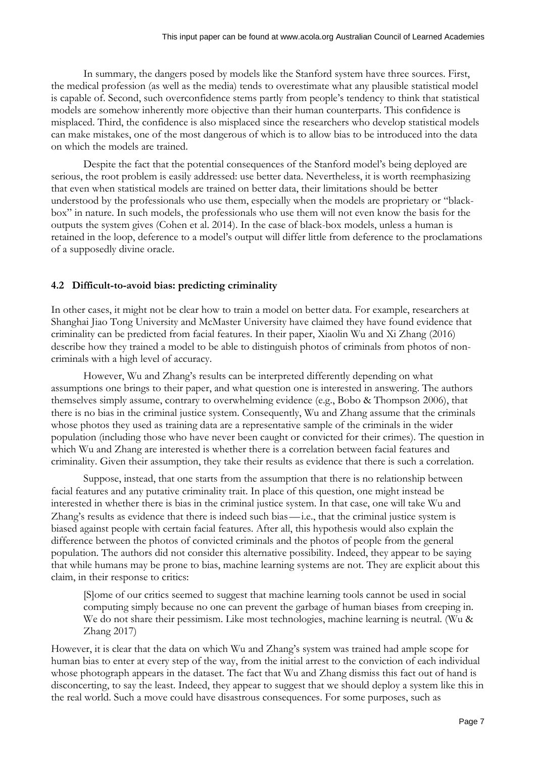In summary, the dangers posed by models like the Stanford system have three sources. First, the medical profession (as well as the media) tends to overestimate what any plausible statistical model is capable of. Second, such overconfidence stems partly from people's tendency to think that statistical models are somehow inherently more objective than their human counterparts. This confidence is misplaced. Third, the confidence is also misplaced since the researchers who develop statistical models can make mistakes, one of the most dangerous of which is to allow bias to be introduced into the data on which the models are trained.

Despite the fact that the potential consequences of the Stanford model's being deployed are serious, the root problem is easily addressed: use better data. Nevertheless, it is worth reemphasizing that even when statistical models are trained on better data, their limitations should be better understood by the professionals who use them, especially when the models are proprietary or "blackbox" in nature. In such models, the professionals who use them will not even know the basis for the outputs the system gives (Cohen et al. 2014). In the case of black-box models, unless a human is retained in the loop, deference to a model's output will differ little from deference to the proclamations of a supposedly divine oracle.

#### **4.2 Difficult-to-avoid bias: predicting criminality**

In other cases, it might not be clear how to train a model on better data. For example, researchers at Shanghai Jiao Tong University and McMaster University have claimed they have found evidence that criminality can be predicted from facial features. In their paper, Xiaolin Wu and Xi Zhang (2016) describe how they trained a model to be able to distinguish photos of criminals from photos of noncriminals with a high level of accuracy.

However, Wu and Zhang's results can be interpreted differently depending on what assumptions one brings to their paper, and what question one is interested in answering. The authors themselves simply assume, contrary to overwhelming evidence (e.g., Bobo & Thompson 2006), that there is no bias in the criminal justice system. Consequently, Wu and Zhang assume that the criminals whose photos they used as training data are a representative sample of the criminals in the wider population (including those who have never been caught or convicted for their crimes). The question in which Wu and Zhang are interested is whether there is a correlation between facial features and criminality. Given their assumption, they take their results as evidence that there is such a correlation.

Suppose, instead, that one starts from the assumption that there is no relationship between facial features and any putative criminality trait. In place of this question, one might instead be interested in whether there is bias in the criminal justice system. In that case, one will take Wu and Zhang's results as evidence that there is indeed such bias—i.e., that the criminal justice system is biased against people with certain facial features. After all, this hypothesis would also explain the difference between the photos of convicted criminals and the photos of people from the general population. The authors did not consider this alternative possibility. Indeed, they appear to be saying that while humans may be prone to bias, machine learning systems are not. They are explicit about this claim, in their response to critics:

[S]ome of our critics seemed to suggest that machine learning tools cannot be used in social computing simply because no one can prevent the garbage of human biases from creeping in. We do not share their pessimism. Like most technologies, machine learning is neutral. (Wu & Zhang 2017)

However, it is clear that the data on which Wu and Zhang's system was trained had ample scope for human bias to enter at every step of the way, from the initial arrest to the conviction of each individual whose photograph appears in the dataset. The fact that Wu and Zhang dismiss this fact out of hand is disconcerting, to say the least. Indeed, they appear to suggest that we should deploy a system like this in the real world. Such a move could have disastrous consequences. For some purposes, such as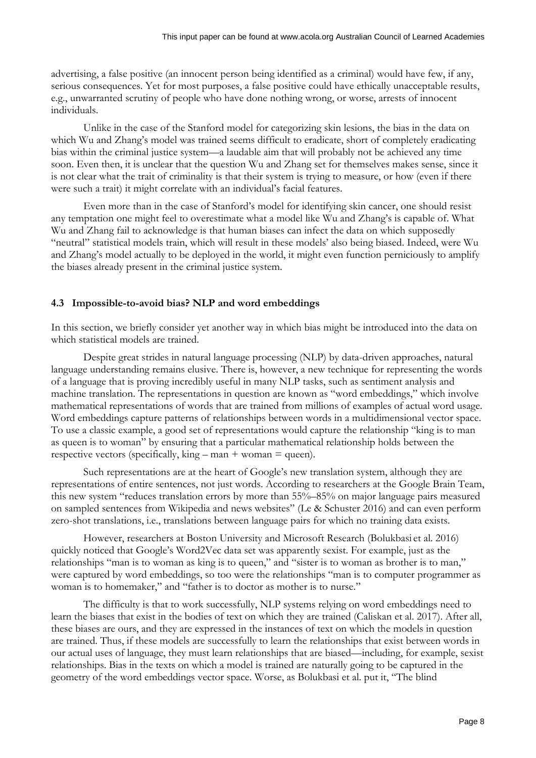advertising, a false positive (an innocent person being identified as a criminal) would have few, if any, serious consequences. Yet for most purposes, a false positive could have ethically unacceptable results, e.g., unwarranted scrutiny of people who have done nothing wrong, or worse, arrests of innocent individuals.

Unlike in the case of the Stanford model for categorizing skin lesions, the bias in the data on which Wu and Zhang's model was trained seems difficult to eradicate, short of completely eradicating bias within the criminal justice system—a laudable aim that will probably not be achieved any time soon. Even then, it is unclear that the question Wu and Zhang set for themselves makes sense, since it is not clear what the trait of criminality is that their system is trying to measure, or how (even if there were such a trait) it might correlate with an individual's facial features.

Even more than in the case of Stanford's model for identifying skin cancer, one should resist any temptation one might feel to overestimate what a model like Wu and Zhang's is capable of. What Wu and Zhang fail to acknowledge is that human biases can infect the data on which supposedly "neutral" statistical models train, which will result in these models' also being biased. Indeed, were Wu and Zhang's model actually to be deployed in the world, it might even function perniciously to amplify the biases already present in the criminal justice system.

#### **4.3 Impossible-to-avoid bias? NLP and word embeddings**

In this section, we briefly consider yet another way in which bias might be introduced into the data on which statistical models are trained.

Despite great strides in natural language processing (NLP) by data-driven approaches, natural language understanding remains elusive. There is, however, a new technique for representing the words of a language that is proving incredibly useful in many NLP tasks, such as sentiment analysis and machine translation. The representations in question are known as "word embeddings," which involve mathematical representations of words that are trained from millions of examples of actual word usage. Word embeddings capture patterns of relationships between words in a multidimensional vector space. To use a classic example, a good set of representations would capture the relationship "king is to man as queen is to woman" by ensuring that a particular mathematical relationship holds between the respective vectors (specifically, king – man + woman = queen).

Such representations are at the heart of Google's new translation system, although they are representations of entire sentences, not just words. According to researchers at the Google Brain Team, this new system "reduces translation errors by more than 55%–85% on major language pairs measured on sampled sentences from Wikipedia and news websites" (Le & Schuster 2016) and can even perform zero-shot translations, i.e., translations between language pairs for which no training data exists.

However, researchers at Boston University and Microsoft Research (Bolukbasi et al. 2016) quickly noticed that Google's Word2Vec data set was apparently sexist. For example, just as the relationships "man is to woman as king is to queen," and "sister is to woman as brother is to man," were captured by word embeddings, so too were the relationships "man is to computer programmer as woman is to homemaker," and "father is to doctor as mother is to nurse."

The difficulty is that to work successfully, NLP systems relying on word embeddings need to learn the biases that exist in the bodies of text on which they are trained (Caliskan et al. 2017). After all, these biases are ours, and they are expressed in the instances of text on which the models in question are trained. Thus, if these models are successfully to learn the relationships that exist between words in our actual uses of language, they must learn relationships that are biased—including, for example, sexist relationships. Bias in the texts on which a model is trained are naturally going to be captured in the geometry of the word embeddings vector space. Worse, as Bolukbasi et al. put it, "The blind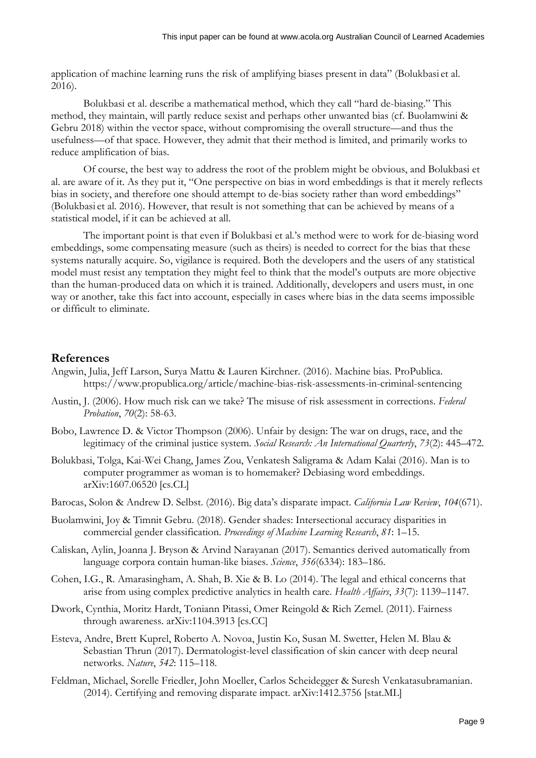application of machine learning runs the risk of amplifying biases present in data" (Bolukbasi et al. 2016).

Bolukbasi et al. describe a mathematical method, which they call "hard de-biasing." This method, they maintain, will partly reduce sexist and perhaps other unwanted bias (cf. Buolamwini & Gebru 2018) within the vector space, without compromising the overall structure—and thus the usefulness—of that space. However, they admit that their method is limited, and primarily works to reduce amplification of bias.

Of course, the best way to address the root of the problem might be obvious, and Bolukbasi et al. are aware of it. As they put it, "One perspective on bias in word embeddings is that it merely reflects bias in society, and therefore one should attempt to de-bias society rather than word embeddings" (Bolukbasi et al. 2016). However, that result is not something that can be achieved by means of a statistical model, if it can be achieved at all.

The important point is that even if Bolukbasi et al.'s method were to work for de-biasing word embeddings, some compensating measure (such as theirs) is needed to correct for the bias that these systems naturally acquire. So, vigilance is required. Both the developers and the users of any statistical model must resist any temptation they might feel to think that the model's outputs are more objective than the human-produced data on which it is trained. Additionally, developers and users must, in one way or another, take this fact into account, especially in cases where bias in the data seems impossible or difficult to eliminate.

#### **References**

- Angwin, Julia, Jeff Larson, Surya Mattu & Lauren Kirchner. (2016). Machine bias. ProPublica. https://www.propublica.org/article/machine-bias-risk-assessments-in-criminal-sentencing
- Austin, J. (2006). How much risk can we take? The misuse of risk assessment in corrections. *Federal Probation*, *70*(2): 58-63.
- Bobo, Lawrence D. & Victor Thompson (2006). Unfair by design: The war on drugs, race, and the legitimacy of the criminal justice system. *Social Research: An International Quarterly*, *73*(2): 445–472.
- Bolukbasi, Tolga, Kai-Wei Chang, James Zou, Venkatesh Saligrama & Adam Kalai (2016). Man is to computer programmer as woman is to homemaker? Debiasing word embeddings. arXiv:1607.06520 [cs.CL]
- Barocas, Solon & Andrew D. Selbst. (2016). Big data's disparate impact. *California Law Review*, *104*(671).
- Buolamwini, Joy & Timnit Gebru. (2018). Gender shades: Intersectional accuracy disparities in commercial gender classification. *Proceedings of Machine Learning Research*, *81*: 1–15.
- Caliskan, Aylin, Joanna J. Bryson & Arvind Narayanan (2017). Semantics derived automatically from language corpora contain human-like biases. *Science*, *356*(6334): 183–186.
- Cohen, I.G., R. Amarasingham, A. Shah, B. Xie & B. Lo (2014). The legal and ethical concerns that arise from using complex predictive analytics in health care. *Health Affairs*, *33*(7): 1139–1147.
- Dwork, Cynthia, Moritz Hardt, Toniann Pitassi, Omer Reingold & Rich Zemel. (2011). Fairness through awareness. arXiv:1104.3913 [cs.CC]
- Esteva, Andre, Brett Kuprel, Roberto A. Novoa, Justin Ko, Susan M. Swetter, Helen M. Blau & Sebastian Thrun (2017). Dermatologist-level classification of skin cancer with deep neural networks. *Nature*, *542*: 115–118.
- Feldman, Michael, Sorelle Friedler, John Moeller, Carlos Scheidegger & Suresh Venkatasubramanian. (2014). Certifying and removing disparate impact. arXiv:1412.3756 [stat.ML]